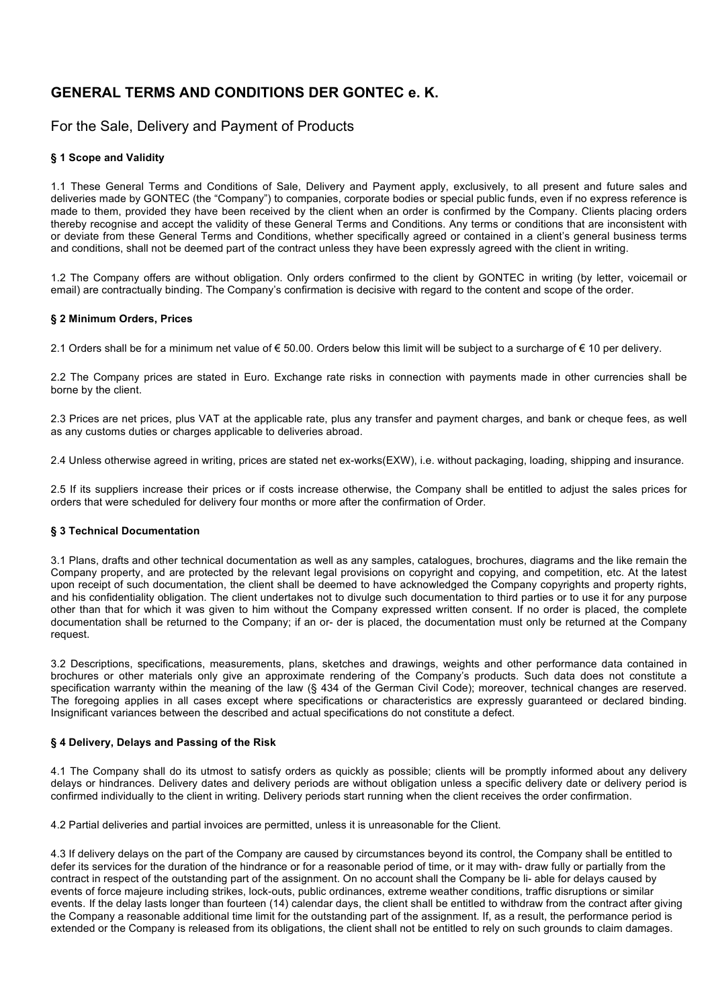# **GENERAL TERMS AND CONDITIONS DER GONTEC e. K.**

# For the Sale, Delivery and Payment of Products

# **§ 1 Scope and Validity**

1.1 These General Terms and Conditions of Sale, Delivery and Payment apply, exclusively, to all present and future sales and deliveries made by GONTEC (the "Company") to companies, corporate bodies or special public funds, even if no express reference is made to them, provided they have been received by the client when an order is confirmed by the Company. Clients placing orders thereby recognise and accept the validity of these General Terms and Conditions. Any terms or conditions that are inconsistent with or deviate from these General Terms and Conditions, whether specifically agreed or contained in a client's general business terms and conditions, shall not be deemed part of the contract unless they have been expressly agreed with the client in writing.

1.2 The Company offers are without obligation. Only orders confirmed to the client by GONTEC in writing (by letter, voicemail or email) are contractually binding. The Company's confirmation is decisive with regard to the content and scope of the order.

### **§ 2 Minimum Orders, Prices**

2.1 Orders shall be for a minimum net value of € 50.00. Orders below this limit will be subject to a surcharge of € 10 per delivery.

2.2 The Company prices are stated in Euro. Exchange rate risks in connection with payments made in other currencies shall be borne by the client.

2.3 Prices are net prices, plus VAT at the applicable rate, plus any transfer and payment charges, and bank or cheque fees, as well as any customs duties or charges applicable to deliveries abroad.

2.4 Unless otherwise agreed in writing, prices are stated net ex-works(EXW), i.e. without packaging, loading, shipping and insurance.

2.5 If its suppliers increase their prices or if costs increase otherwise, the Company shall be entitled to adjust the sales prices for orders that were scheduled for delivery four months or more after the confirmation of Order.

# **§ 3 Technical Documentation**

3.1 Plans, drafts and other technical documentation as well as any samples, catalogues, brochures, diagrams and the like remain the Company property, and are protected by the relevant legal provisions on copyright and copying, and competition, etc. At the latest upon receipt of such documentation, the client shall be deemed to have acknowledged the Company copyrights and property rights, and his confidentiality obligation. The client undertakes not to divulge such documentation to third parties or to use it for any purpose other than that for which it was given to him without the Company expressed written consent. If no order is placed, the complete documentation shall be returned to the Company; if an or- der is placed, the documentation must only be returned at the Company request.

3.2 Descriptions, specifications, measurements, plans, sketches and drawings, weights and other performance data contained in brochures or other materials only give an approximate rendering of the Company's products. Such data does not constitute a specification warranty within the meaning of the law (§ 434 of the German Civil Code); moreover, technical changes are reserved. The foregoing applies in all cases except where specifications or characteristics are expressly guaranteed or declared binding. Insignificant variances between the described and actual specifications do not constitute a defect.

# **§ 4 Delivery, Delays and Passing of the Risk**

4.1 The Company shall do its utmost to satisfy orders as quickly as possible; clients will be promptly informed about any delivery delays or hindrances. Delivery dates and delivery periods are without obligation unless a specific delivery date or delivery period is confirmed individually to the client in writing. Delivery periods start running when the client receives the order confirmation.

4.2 Partial deliveries and partial invoices are permitted, unless it is unreasonable for the Client.

4.3 If delivery delays on the part of the Company are caused by circumstances beyond its control, the Company shall be entitled to defer its services for the duration of the hindrance or for a reasonable period of time, or it may with- draw fully or partially from the contract in respect of the outstanding part of the assignment. On no account shall the Company be li- able for delays caused by events of force majeure including strikes, lock-outs, public ordinances, extreme weather conditions, traffic disruptions or similar events. If the delay lasts longer than fourteen (14) calendar days, the client shall be entitled to withdraw from the contract after giving the Company a reasonable additional time limit for the outstanding part of the assignment. If, as a result, the performance period is extended or the Company is released from its obligations, the client shall not be entitled to rely on such grounds to claim damages.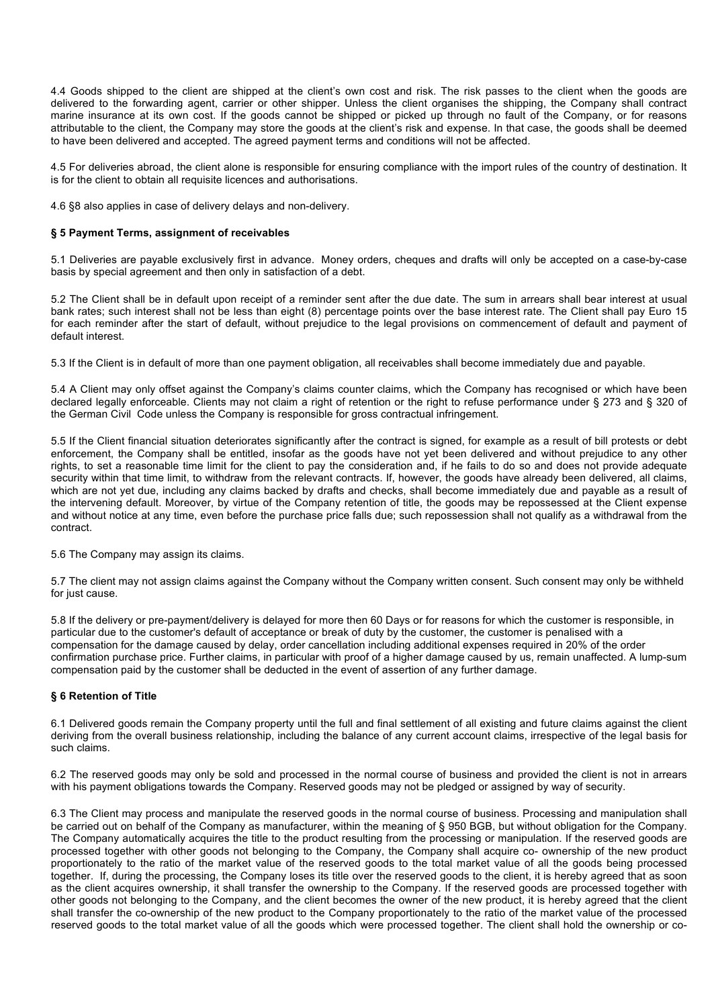4.4 Goods shipped to the client are shipped at the client's own cost and risk. The risk passes to the client when the goods are delivered to the forwarding agent, carrier or other shipper. Unless the client organises the shipping, the Company shall contract marine insurance at its own cost. If the goods cannot be shipped or picked up through no fault of the Company, or for reasons attributable to the client, the Company may store the goods at the client's risk and expense. In that case, the goods shall be deemed to have been delivered and accepted. The agreed payment terms and conditions will not be affected.

4.5 For deliveries abroad, the client alone is responsible for ensuring compliance with the import rules of the country of destination. It is for the client to obtain all requisite licences and authorisations.

4.6 §8 also applies in case of delivery delays and non-delivery.

#### **§ 5 Payment Terms, assignment of receivables**

5.1 Deliveries are payable exclusively first in advance. Money orders, cheques and drafts will only be accepted on a case-by-case basis by special agreement and then only in satisfaction of a debt.

5.2 The Client shall be in default upon receipt of a reminder sent after the due date. The sum in arrears shall bear interest at usual bank rates; such interest shall not be less than eight (8) percentage points over the base interest rate. The Client shall pay Euro 15 for each reminder after the start of default, without prejudice to the legal provisions on commencement of default and payment of default interest.

5.3 If the Client is in default of more than one payment obligation, all receivables shall become immediately due and payable.

5.4 A Client may only offset against the Company's claims counter claims, which the Company has recognised or which have been declared legally enforceable. Clients may not claim a right of retention or the right to refuse performance under § 273 and § 320 of the German Civil Code unless the Company is responsible for gross contractual infringement.

5.5 If the Client financial situation deteriorates significantly after the contract is signed, for example as a result of bill protests or debt enforcement, the Company shall be entitled, insofar as the goods have not yet been delivered and without prejudice to any other rights, to set a reasonable time limit for the client to pay the consideration and, if he fails to do so and does not provide adequate security within that time limit, to withdraw from the relevant contracts. If, however, the goods have already been delivered, all claims, which are not yet due, including any claims backed by drafts and checks, shall become immediately due and payable as a result of the intervening default. Moreover, by virtue of the Company retention of title, the goods may be repossessed at the Client expense and without notice at any time, even before the purchase price falls due; such repossession shall not qualify as a withdrawal from the contract.

5.6 The Company may assign its claims.

5.7 The client may not assign claims against the Company without the Company written consent. Such consent may only be withheld for just cause.

5.8 If the delivery or pre-payment/delivery is delayed for more then 60 Days or for reasons for which the customer is responsible, in particular due to the customer's default of acceptance or break of duty by the customer, the customer is penalised with a compensation for the damage caused by delay, order cancellation including additional expenses required in 20% of the order confirmation purchase price. Further claims, in particular with proof of a higher damage caused by us, remain unaffected. A lump-sum compensation paid by the customer shall be deducted in the event of assertion of any further damage.

#### **§ 6 Retention of Title**

6.1 Delivered goods remain the Company property until the full and final settlement of all existing and future claims against the client deriving from the overall business relationship, including the balance of any current account claims, irrespective of the legal basis for such claims.

6.2 The reserved goods may only be sold and processed in the normal course of business and provided the client is not in arrears with his payment obligations towards the Company. Reserved goods may not be pledged or assigned by way of security.

6.3 The Client may process and manipulate the reserved goods in the normal course of business. Processing and manipulation shall be carried out on behalf of the Company as manufacturer, within the meaning of § 950 BGB, but without obligation for the Company. The Company automatically acquires the title to the product resulting from the processing or manipulation. If the reserved goods are processed together with other goods not belonging to the Company, the Company shall acquire co- ownership of the new product proportionately to the ratio of the market value of the reserved goods to the total market value of all the goods being processed together. If, during the processing, the Company loses its title over the reserved goods to the client, it is hereby agreed that as soon as the client acquires ownership, it shall transfer the ownership to the Company. If the reserved goods are processed together with other goods not belonging to the Company, and the client becomes the owner of the new product, it is hereby agreed that the client shall transfer the co-ownership of the new product to the Company proportionately to the ratio of the market value of the processed reserved goods to the total market value of all the goods which were processed together. The client shall hold the ownership or co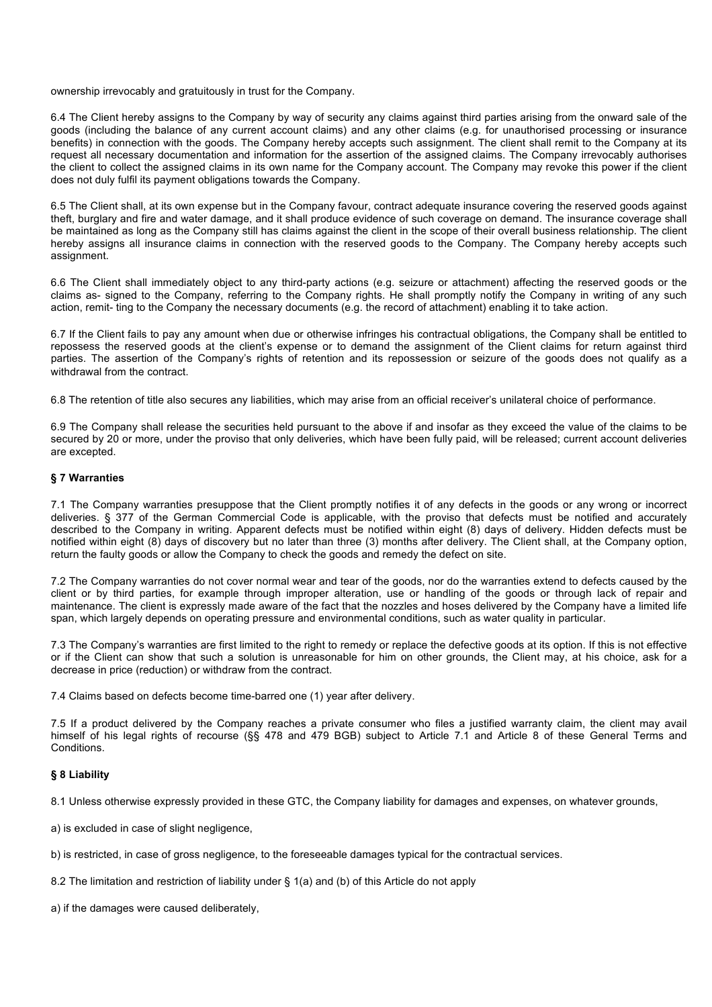ownership irrevocably and gratuitously in trust for the Company.

6.4 The Client hereby assigns to the Company by way of security any claims against third parties arising from the onward sale of the goods (including the balance of any current account claims) and any other claims (e.g. for unauthorised processing or insurance benefits) in connection with the goods. The Company hereby accepts such assignment. The client shall remit to the Company at its request all necessary documentation and information for the assertion of the assigned claims. The Company irrevocably authorises the client to collect the assigned claims in its own name for the Company account. The Company may revoke this power if the client does not duly fulfil its payment obligations towards the Company.

6.5 The Client shall, at its own expense but in the Company favour, contract adequate insurance covering the reserved goods against theft, burglary and fire and water damage, and it shall produce evidence of such coverage on demand. The insurance coverage shall be maintained as long as the Company still has claims against the client in the scope of their overall business relationship. The client hereby assigns all insurance claims in connection with the reserved goods to the Company. The Company hereby accepts such assignment.

6.6 The Client shall immediately object to any third-party actions (e.g. seizure or attachment) affecting the reserved goods or the claims as- signed to the Company, referring to the Company rights. He shall promptly notify the Company in writing of any such action, remit- ting to the Company the necessary documents (e.g. the record of attachment) enabling it to take action.

6.7 If the Client fails to pay any amount when due or otherwise infringes his contractual obligations, the Company shall be entitled to repossess the reserved goods at the client's expense or to demand the assignment of the Client claims for return against third parties. The assertion of the Company's rights of retention and its repossession or seizure of the goods does not qualify as a withdrawal from the contract.

6.8 The retention of title also secures any liabilities, which may arise from an official receiver's unilateral choice of performance.

6.9 The Company shall release the securities held pursuant to the above if and insofar as they exceed the value of the claims to be secured by 20 or more, under the proviso that only deliveries, which have been fully paid, will be released; current account deliveries are excepted.

#### **§ 7 Warranties**

7.1 The Company warranties presuppose that the Client promptly notifies it of any defects in the goods or any wrong or incorrect deliveries. § 377 of the German Commercial Code is applicable, with the proviso that defects must be notified and accurately described to the Company in writing. Apparent defects must be notified within eight (8) days of delivery. Hidden defects must be notified within eight (8) days of discovery but no later than three (3) months after delivery. The Client shall, at the Company option, return the faulty goods or allow the Company to check the goods and remedy the defect on site.

7.2 The Company warranties do not cover normal wear and tear of the goods, nor do the warranties extend to defects caused by the client or by third parties, for example through improper alteration, use or handling of the goods or through lack of repair and maintenance. The client is expressly made aware of the fact that the nozzles and hoses delivered by the Company have a limited life span, which largely depends on operating pressure and environmental conditions, such as water quality in particular.

7.3 The Company's warranties are first limited to the right to remedy or replace the defective goods at its option. If this is not effective or if the Client can show that such a solution is unreasonable for him on other grounds, the Client may, at his choice, ask for a decrease in price (reduction) or withdraw from the contract.

7.4 Claims based on defects become time-barred one (1) year after delivery.

7.5 If a product delivered by the Company reaches a private consumer who files a justified warranty claim, the client may avail himself of his legal rights of recourse (§§ 478 and 479 BGB) subject to Article 7.1 and Article 8 of these General Terms and Conditions.

#### **§ 8 Liability**

8.1 Unless otherwise expressly provided in these GTC, the Company liability for damages and expenses, on whatever grounds,

a) is excluded in case of slight negligence,

b) is restricted, in case of gross negligence, to the foreseeable damages typical for the contractual services.

8.2 The limitation and restriction of liability under § 1(a) and (b) of this Article do not apply

a) if the damages were caused deliberately,